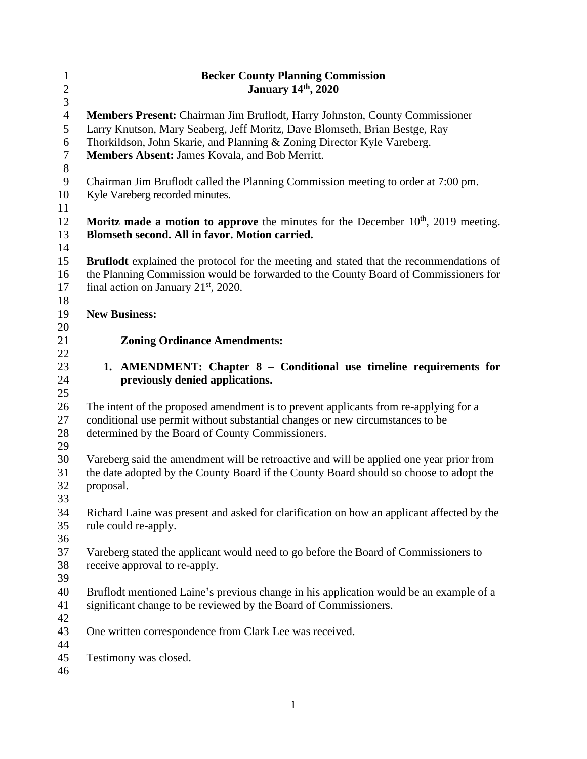| $\mathbf{1}$<br>$\sqrt{2}$<br>3             | <b>Becker County Planning Commission</b><br><b>January 14th, 2020</b>                                                                                                                                                                                                                  |  |  |  |  |
|---------------------------------------------|----------------------------------------------------------------------------------------------------------------------------------------------------------------------------------------------------------------------------------------------------------------------------------------|--|--|--|--|
| $\overline{4}$<br>5<br>6<br>$\tau$<br>$8\,$ | Members Present: Chairman Jim Bruflodt, Harry Johnston, County Commissioner<br>Larry Knutson, Mary Seaberg, Jeff Moritz, Dave Blomseth, Brian Bestge, Ray<br>Thorkildson, John Skarie, and Planning & Zoning Director Kyle Vareberg.<br>Members Absent: James Kovala, and Bob Merritt. |  |  |  |  |
| $\boldsymbol{9}$<br>10                      | Chairman Jim Bruflodt called the Planning Commission meeting to order at 7:00 pm.<br>Kyle Vareberg recorded minutes.                                                                                                                                                                   |  |  |  |  |
| 11<br>12<br>13                              | <b>Moritz made a motion to approve</b> the minutes for the December $10th$ , 2019 meeting.<br>Blomseth second. All in favor. Motion carried.                                                                                                                                           |  |  |  |  |
| 14<br>15<br>16<br>17                        | <b>Bruflodt</b> explained the protocol for the meeting and stated that the recommendations of<br>the Planning Commission would be forwarded to the County Board of Commissioners for<br>final action on January $21st$ , 2020.                                                         |  |  |  |  |
| 18<br>19                                    | <b>New Business:</b>                                                                                                                                                                                                                                                                   |  |  |  |  |
| 20                                          |                                                                                                                                                                                                                                                                                        |  |  |  |  |
| 21                                          | <b>Zoning Ordinance Amendments:</b>                                                                                                                                                                                                                                                    |  |  |  |  |
| 22<br>23<br>24<br>25                        | 1. AMENDMENT: Chapter 8 – Conditional use timeline requirements for<br>previously denied applications.                                                                                                                                                                                 |  |  |  |  |
| 26<br>27<br>28<br>29                        | The intent of the proposed amendment is to prevent applicants from re-applying for a<br>conditional use permit without substantial changes or new circumstances to be<br>determined by the Board of County Commissioners.                                                              |  |  |  |  |
| 30<br>31<br>32<br>33                        | Vareberg said the amendment will be retroactive and will be applied one year prior from<br>the date adopted by the County Board if the County Board should so choose to adopt the<br>proposal.                                                                                         |  |  |  |  |
| 34<br>35<br>36                              | Richard Laine was present and asked for clarification on how an applicant affected by the<br>rule could re-apply.                                                                                                                                                                      |  |  |  |  |
| 37<br>38<br>39                              | Vareberg stated the applicant would need to go before the Board of Commissioners to<br>receive approval to re-apply.                                                                                                                                                                   |  |  |  |  |
| 40<br>41<br>42                              | Bruflodt mentioned Laine's previous change in his application would be an example of a<br>significant change to be reviewed by the Board of Commissioners.                                                                                                                             |  |  |  |  |
| 43                                          | One written correspondence from Clark Lee was received.                                                                                                                                                                                                                                |  |  |  |  |
| 44<br>45<br>46                              | Testimony was closed.                                                                                                                                                                                                                                                                  |  |  |  |  |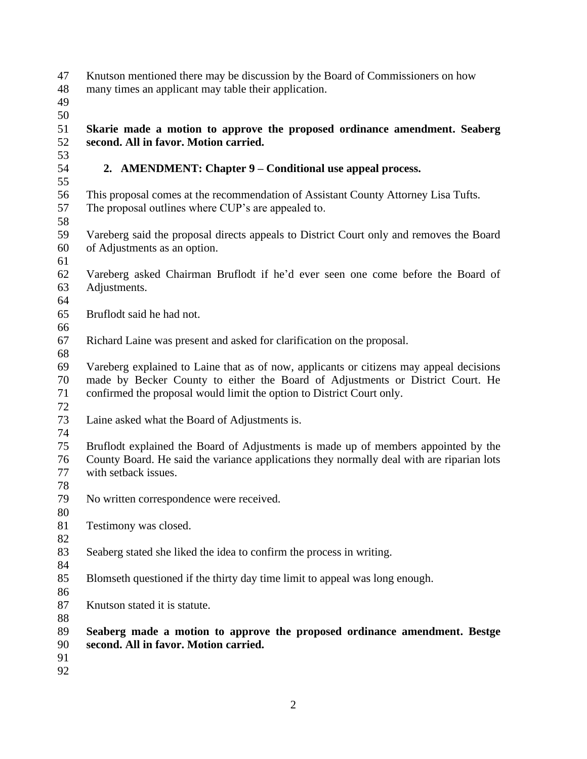- Knutson mentioned there may be discussion by the Board of Commissioners on how
- many times an applicant may table their application.
- 
- 

 **Skarie made a motion to approve the proposed ordinance amendment. Seaberg second. All in favor. Motion carried.** 

- **2. AMENDMENT: Chapter 9 – Conditional use appeal process.**
- This proposal comes at the recommendation of Assistant County Attorney Lisa Tufts. The proposal outlines where CUP's are appealed to.
- 
- Vareberg said the proposal directs appeals to District Court only and removes the Board of Adjustments as an option.
- 
- Vareberg asked Chairman Bruflodt if he'd ever seen one come before the Board of Adjustments.
- 

- Bruflodt said he had not.
- Richard Laine was present and asked for clarification on the proposal.
- 

 Vareberg explained to Laine that as of now, applicants or citizens may appeal decisions made by Becker County to either the Board of Adjustments or District Court. He confirmed the proposal would limit the option to District Court only. 

- Laine asked what the Board of Adjustments is.
- 

 Bruflodt explained the Board of Adjustments is made up of members appointed by the County Board. He said the variance applications they normally deal with are riparian lots with setback issues.

- 
- No written correspondence were received.
- Testimony was closed.
- 

- Seaberg stated she liked the idea to confirm the process in writing.
- Blomseth questioned if the thirty day time limit to appeal was long enough.
- 
- Knutson stated it is statute.

- **Seaberg made a motion to approve the proposed ordinance amendment. Bestge second. All in favor. Motion carried.**
- 
-